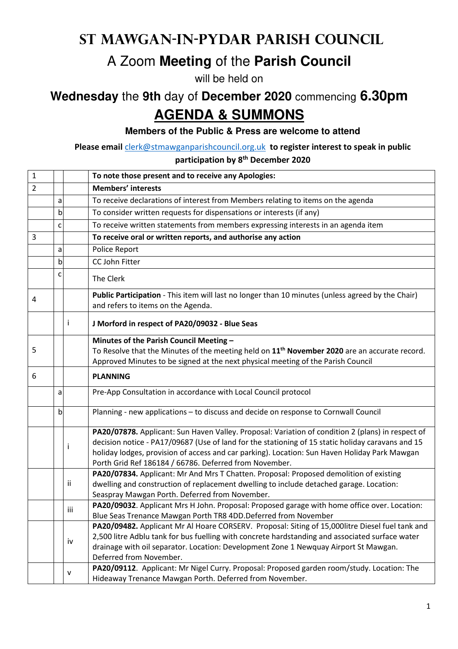## **St Mawgan-in-Pydar Parish Council**

## A Zoom **Meeting** of the **Parish Council**

will be held on

## **Wednesday** the **9th** day of **December 2020** commencing **6.30pm AGENDA & SUMMONS**

**Members of the Public & Press are welcome to attend**

**Please email** clerk@stmawganparishcouncil.org.uk **to register interest to speak in public** 

**participation by 8th December 2020**

| $\mathbf{1}$   |   |     | To note those present and to receive any Apologies:                                                                                                                                                                                                                                                                                                               |
|----------------|---|-----|-------------------------------------------------------------------------------------------------------------------------------------------------------------------------------------------------------------------------------------------------------------------------------------------------------------------------------------------------------------------|
| $\overline{2}$ |   |     | <b>Members' interests</b>                                                                                                                                                                                                                                                                                                                                         |
|                | a |     | To receive declarations of interest from Members relating to items on the agenda                                                                                                                                                                                                                                                                                  |
|                | b |     | To consider written requests for dispensations or interests (if any)                                                                                                                                                                                                                                                                                              |
|                | c |     | To receive written statements from members expressing interests in an agenda item                                                                                                                                                                                                                                                                                 |
| 3              |   |     | To receive oral or written reports, and authorise any action                                                                                                                                                                                                                                                                                                      |
|                | a |     | Police Report                                                                                                                                                                                                                                                                                                                                                     |
|                | b |     | CC John Fitter                                                                                                                                                                                                                                                                                                                                                    |
|                | c |     | The Clerk                                                                                                                                                                                                                                                                                                                                                         |
| 4              |   |     | Public Participation - This item will last no longer than 10 minutes (unless agreed by the Chair)<br>and refers to items on the Agenda.                                                                                                                                                                                                                           |
|                |   | i   | J Morford in respect of PA20/09032 - Blue Seas                                                                                                                                                                                                                                                                                                                    |
|                |   |     | Minutes of the Parish Council Meeting -                                                                                                                                                                                                                                                                                                                           |
| 5              |   |     | To Resolve that the Minutes of the meeting held on $11th$ November 2020 are an accurate record.                                                                                                                                                                                                                                                                   |
|                |   |     | Approved Minutes to be signed at the next physical meeting of the Parish Council                                                                                                                                                                                                                                                                                  |
| 6              |   |     | <b>PLANNING</b>                                                                                                                                                                                                                                                                                                                                                   |
|                | a |     | Pre-App Consultation in accordance with Local Council protocol                                                                                                                                                                                                                                                                                                    |
|                | b |     | Planning - new applications - to discuss and decide on response to Cornwall Council                                                                                                                                                                                                                                                                               |
|                |   | i   | PA20/07878. Applicant: Sun Haven Valley. Proposal: Variation of condition 2 (plans) in respect of<br>decision notice - PA17/09687 (Use of land for the stationing of 15 static holiday caravans and 15<br>holiday lodges, provision of access and car parking). Location: Sun Haven Holiday Park Mawgan<br>Porth Grid Ref 186184 / 66786. Deferred from November. |
|                |   | Ϊİ  | PA20/07834. Applicant: Mr And Mrs T Chatten. Proposal: Proposed demolition of existing<br>dwelling and construction of replacement dwelling to include detached garage. Location:<br>Seaspray Mawgan Porth. Deferred from November.                                                                                                                               |
|                |   | iii | PA20/09032. Applicant Mrs H John. Proposal: Proposed garage with home office over. Location:<br>Blue Seas Trenance Mawgan Porth TR8 4DD. Deferred from November                                                                                                                                                                                                   |
|                |   | iv  | PA20/09482. Applicant Mr Al Hoare CORSERV. Proposal: Siting of 15,000litre Diesel fuel tank and<br>2,500 litre Adblu tank for bus fuelling with concrete hardstanding and associated surface water<br>drainage with oil separator. Location: Development Zone 1 Newquay Airport St Mawgan.<br>Deferred from November.                                             |
|                |   | v   | PA20/09112. Applicant: Mr Nigel Curry. Proposal: Proposed garden room/study. Location: The<br>Hideaway Trenance Mawgan Porth. Deferred from November.                                                                                                                                                                                                             |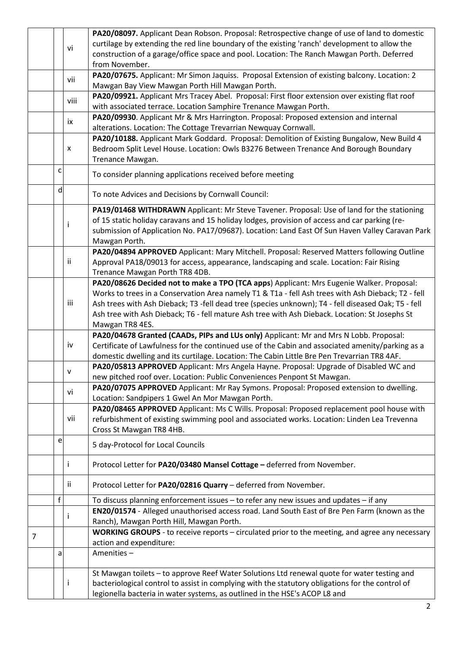|   |   |      | PA20/08097. Applicant Dean Robson. Proposal: Retrospective change of use of land to domestic        |
|---|---|------|-----------------------------------------------------------------------------------------------------|
|   |   |      | curtilage by extending the red line boundary of the existing 'ranch' development to allow the       |
|   |   | vi   | construction of a garage/office space and pool. Location: The Ranch Mawgan Porth. Deferred          |
|   |   |      | from November.                                                                                      |
|   |   |      | PA20/07675. Applicant: Mr Simon Jaquiss. Proposal Extension of existing balcony. Location: 2        |
|   |   | vii  | Mawgan Bay View Mawgan Porth Hill Mawgan Porth.                                                     |
|   |   |      | PA20/09921. Applicant Mrs Tracey Abel. Proposal: First floor extension over existing flat roof      |
|   |   | viii |                                                                                                     |
|   |   |      | with associated terrace. Location Samphire Trenance Mawgan Porth.                                   |
|   |   | ix   | PA20/09930. Applicant Mr & Mrs Harrington. Proposal: Proposed extension and internal                |
|   |   |      | alterations. Location: The Cottage Trevarrian Newquay Cornwall.                                     |
|   |   |      | PA20/10188. Applicant Mark Goddard. Proposal: Demolition of Existing Bungalow, New Build 4          |
|   |   | X    | Bedroom Split Level House. Location: Owls B3276 Between Trenance And Borough Boundary               |
|   |   |      | Trenance Mawgan.                                                                                    |
|   | c |      | To consider planning applications received before meeting                                           |
|   |   |      |                                                                                                     |
|   | d |      | To note Advices and Decisions by Cornwall Council:                                                  |
|   |   |      |                                                                                                     |
|   |   |      | PA19/01468 WITHDRAWN Applicant: Mr Steve Tavener. Proposal: Use of land for the stationing          |
|   |   |      | of 15 static holiday caravans and 15 holiday lodges, provision of access and car parking (re-       |
|   |   |      | submission of Application No. PA17/09687). Location: Land East Of Sun Haven Valley Caravan Park     |
|   |   |      | Mawgan Porth.                                                                                       |
|   |   |      | PA20/04894 APPROVED Applicant: Mary Mitchell. Proposal: Reserved Matters following Outline          |
|   |   | ij.  | Approval PA18/09013 for access, appearance, landscaping and scale. Location: Fair Rising            |
|   |   |      | Trenance Mawgan Porth TR8 4DB.                                                                      |
|   |   |      | PA20/08626 Decided not to make a TPO (TCA apps) Applicant: Mrs Eugenie Walker. Proposal:            |
|   |   |      | Works to trees in a Conservation Area namely T1 & T1a - fell Ash trees with Ash Dieback; T2 - fell  |
|   |   | iii  | Ash trees with Ash Dieback; T3 -fell dead tree (species unknown); T4 - fell diseased Oak; T5 - fell |
|   |   |      |                                                                                                     |
|   |   |      | Ash tree with Ash Dieback; T6 - fell mature Ash tree with Ash Dieback. Location: St Josephs St      |
|   |   |      | Mawgan TR8 4ES.                                                                                     |
|   |   |      | PA20/04678 Granted (CAADs, PIPs and LUs only) Applicant: Mr and Mrs N Lobb. Proposal:               |
|   |   | iv   | Certificate of Lawfulness for the continued use of the Cabin and associated amenity/parking as a    |
|   |   |      | domestic dwelling and its curtilage. Location: The Cabin Little Bre Pen Trevarrian TR8 4AF.         |
|   |   | v    | PA20/05813 APPROVED Applicant: Mrs Angela Hayne. Proposal: Upgrade of Disabled WC and               |
|   |   |      | new pitched roof over. Location: Public Conveniences Penpont St Mawgan.                             |
|   |   | vi   | PA20/07075 APPROVED Applicant: Mr Ray Symons. Proposal: Proposed extension to dwelling.             |
|   |   |      | Location: Sandpipers 1 Gwel An Mor Mawgan Porth.                                                    |
|   |   |      | PA20/08465 APPROVED Applicant: Ms C Wills. Proposal: Proposed replacement pool house with           |
|   |   | vii  | refurbishment of existing swimming pool and associated works. Location: Linden Lea Trevenna         |
|   |   |      | Cross St Mawgan TR8 4HB.                                                                            |
|   | e |      |                                                                                                     |
|   |   |      | 5 day-Protocol for Local Councils                                                                   |
|   |   |      |                                                                                                     |
|   |   |      | Protocol Letter for PA20/03480 Mansel Cottage - deferred from November.                             |
|   |   | Ϊİ   |                                                                                                     |
|   |   |      | Protocol Letter for PA20/02816 Quarry - deferred from November.                                     |
|   | f |      | To discuss planning enforcement issues - to refer any new issues and updates - if any               |
|   |   |      | EN20/01574 - Alleged unauthorised access road. Land South East of Bre Pen Farm (known as the        |
|   |   |      | Ranch), Mawgan Porth Hill, Mawgan Porth.                                                            |
|   |   |      | WORKING GROUPS - to receive reports - circulated prior to the meeting, and agree any necessary      |
| 7 |   |      | action and expenditure:                                                                             |
|   | a |      | Amenities-                                                                                          |
|   |   |      |                                                                                                     |
|   |   |      | St Mawgan toilets - to approve Reef Water Solutions Ltd renewal quote for water testing and         |
|   |   | Ť    | bacteriological control to assist in complying with the statutory obligations for the control of    |
|   |   |      | legionella bacteria in water systems, as outlined in the HSE's ACOP L8 and                          |
|   |   |      |                                                                                                     |